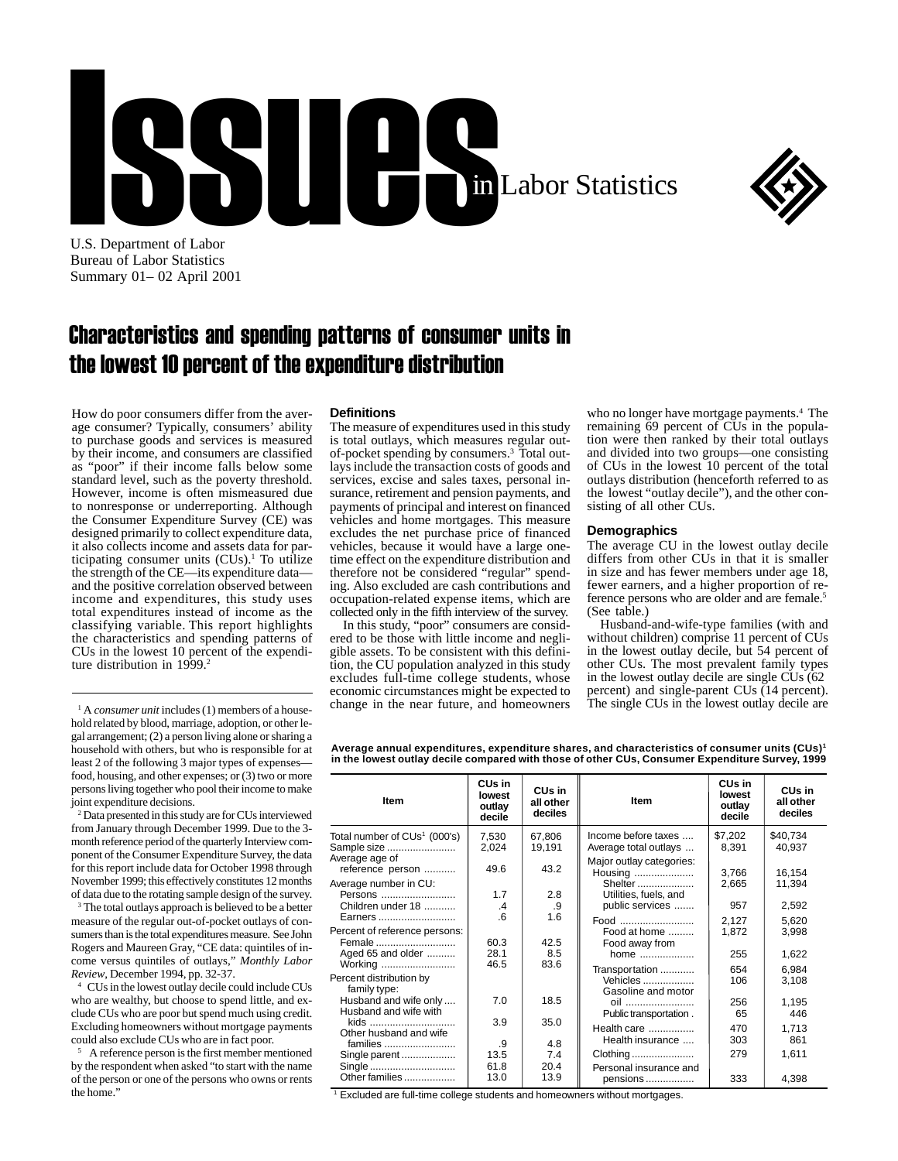



U.S. Department of Labor Bureau of Labor Statistics Summary 01– 02 April 2001

## Characteristics and spending patterns of consumer units in the lowest 10 percent of the expenditure distribution

How do poor consumers differ from the average consumer? Typically, consumers' ability to purchase goods and services is measured by their income, and consumers are classified as "poor" if their income falls below some standard level, such as the poverty threshold. However, income is often mismeasured due to nonresponse or underreporting. Although the Consumer Expenditure Survey (CE) was designed primarily to collect expenditure data, it also collects income and assets data for participating consumer units (CUs).<sup>1</sup> To utilize the strength of the CE—its expenditure data and the positive correlation observed between income and expenditures, this study uses total expenditures instead of income as the classifying variable. This report highlights the characteristics and spending patterns of CUs in the lowest 10 percent of the expenditure distribution in 1999.<sup>2</sup>

<sup>1</sup> A *consumer unit* includes (1) members of a house-<br><sup>1</sup> A *consumer unit* includes (1) members of a household related by blood, marriage, adoption, or other legal arrangement; (2) a person living alone or sharing a household with others, but who is responsible for at least 2 of the following 3 major types of expenses food, housing, and other expenses; or (3) two or more persons living together who pool their income to make joint expenditure decisions.

2 Data presented in this study are for CUs interviewed from January through December 1999. Due to the 3 month reference period of the quarterly Interview component of the Consumer Expenditure Survey, the data for this report include data for October 1998 through November 1999; this effectively constitutes 12 months of data due to the rotating sample design of the survey.

<sup>3</sup> The total outlays approach is believed to be a better measure of the regular out-of-pocket outlays of consumers than is the total expenditures measure. See John Rogers and Maureen Gray, "CE data: quintiles of income versus quintiles of outlays," *Monthly Labor Review*, December 1994, pp. 32-37.

4 CUs in the lowest outlay decile could include CUs who are wealthy, but choose to spend little, and exclude CUs who are poor but spend much using credit. Excluding homeowners without mortgage payments could also exclude CUs who are in fact poor.

5 A reference person is the first member mentioned by the respondent when asked "to start with the name of the person or one of the persons who owns or rents the home."

## **Definitions**

The measure of expenditures used in this study is total outlays, which measures regular outof-pocket spending by consumers.3 Total outlays include the transaction costs of goods and services, excise and sales taxes, personal insurance, retirement and pension payments, and payments of principal and interest on financed vehicles and home mortgages. This measure excludes the net purchase price of financed vehicles, because it would have a large onetime effect on the expenditure distribution and therefore not be considered "regular" spending. Also excluded are cash contributions and occupation-related expense items, which are collected only in the fifth interview of the survey.

In this study, "poor" consumers are considered to be those with little income and negligible assets. To be consistent with this definition, the CU population analyzed in this study excludes full-time college students, whose economic circumstances might be expected to who no longer have mortgage payments.<sup>4</sup> The remaining 69 percent of CUs in the population were then ranked by their total outlays and divided into two groups—one consisting of CUs in the lowest 10 percent of the total outlays distribution (henceforth referred to as the lowest "outlay decile"), and the other consisting of all other CUs.

## **Demographics**

The average CU in the lowest outlay decile differs from other CUs in that it is smaller in size and has fewer members under age 18, fewer earners, and a higher proportion of reference persons who are older and are female.<sup>5</sup> (See table.)

Husband-and-wife-type families (with and without children) comprise 11 percent of CUs in the lowest outlay decile, but 54 percent of other CUs. The most prevalent family types in the lowest outlay decile are single CUs (62 percent) and single-parent CUs (14 percent).<br>The single CUs in the lowest outlay decile are

**Average annual expenditures, expenditure shares, and characteristics of consumer units (CUs)1 in the lowest outlay decile compared with those of other CUs, Consumer Expenditure Survey, 1999**

| <b>Item</b>                                                 | CU <sub>s</sub> in<br>lowest<br>outlay<br>decile | CUs in<br>all other<br>deciles | <b>Item</b>                                    | CU <sub>s</sub> in<br>lowest<br>outlay<br>decile | CU <sub>s</sub> in<br>all other<br>deciles |
|-------------------------------------------------------------|--------------------------------------------------|--------------------------------|------------------------------------------------|--------------------------------------------------|--------------------------------------------|
| Total number of CUs <sup>1</sup> (000's)<br>Sample size     | 7,530<br>2,024                                   | 67.806<br>19,191               | Income before taxes<br>Average total outlays   | \$7,202<br>8,391                                 | \$40,734<br>40,937                         |
| Average age of<br>reference person<br>Average number in CU: | 49.6                                             | 43.2                           | Major outlay categories:<br>Housing<br>Shelter | 3.766<br>2,665                                   | 16,154<br>11,394                           |
| Persons<br>Children under 18                                | 1.7<br>$\cdot$                                   | 2.8<br>.9                      | Utilities, fuels, and<br>public services       | 957                                              | 2,592                                      |
| Earners<br>Percent of reference persons:<br>Female          | 6<br>60.3                                        | 1.6<br>42.5                    | Food<br>Food at home                           | 2,127<br>1,872                                   | 5,620<br>3,998                             |
| Aged 65 and older<br>Working                                | 28.1<br>46.5                                     | 8.5<br>83.6                    | Food away from<br>home<br>Transportation       | 255<br>654                                       | 1,622<br>6.984                             |
| Percent distribution by<br>family type:                     |                                                  |                                | <b>Vehicles</b><br>Gasoline and motor          | 106                                              | 3,108                                      |
| Husband and wife only<br>Husband and wife with<br>kids      | 7.0<br>3.9                                       | 18.5<br>35.0                   | oil<br>Public transportation.                  | 256<br>65                                        | 1,195<br>446                               |
| Other husband and wife<br>families                          | .9                                               | 4.8                            | Health care<br>Health insurance                | 470<br>303                                       | 1,713<br>861                               |
| Single parent<br>Single<br>Other families                   | 13.5<br>61.8<br>13.0                             | 7.4<br>20.4<br>13.9            | Clothing<br>Personal insurance and<br>pensions | 279<br>333                                       | 1,611<br>4,398                             |

<sup>1</sup> Excluded are full-time college students and homeowners without mortgages.